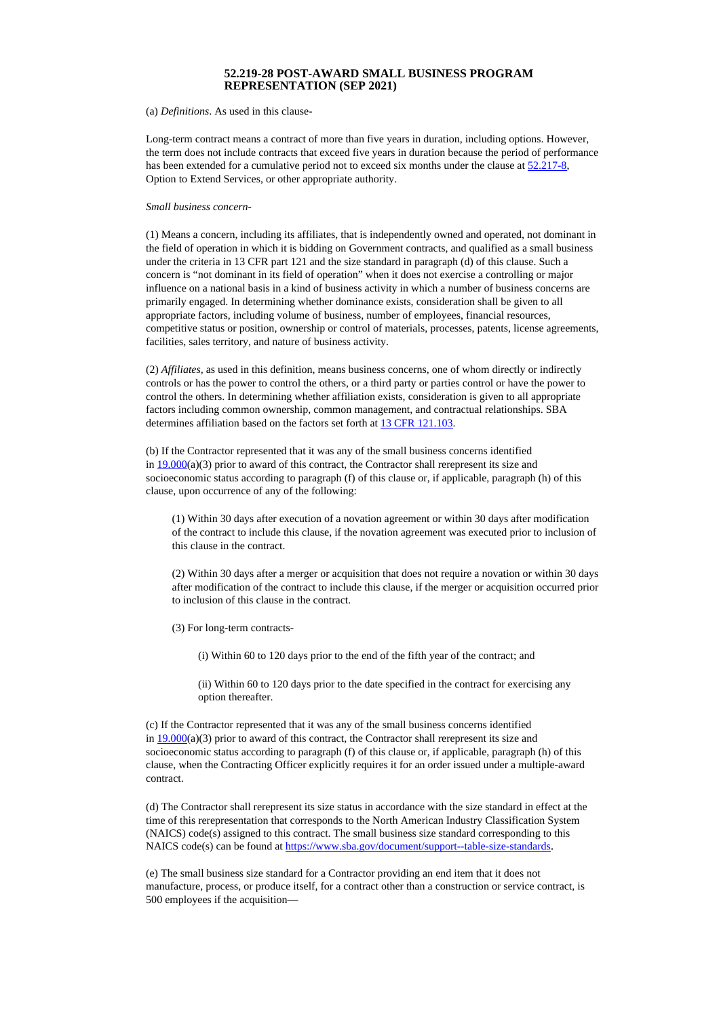## **52.219-28 POST-AWARD SMALL BUSINESS PROGRAM REPRESENTATION (SEP 2021)**

(a) *Definitions*. As used in this clause-

Long-term contract means a contract of more than five years in duration, including options. However, the term does not include contracts that exceed five years in duration because the period of performance has been extended for a cumulative period not to exceed six months under the clause at [52.217-8,](https://www.acquisition.gov/far/52.217-8#FAR_52_217_8) Option to Extend Services, or other appropriate authority.

## *Small business concern-*

(1) Means a concern, including its affiliates, that is independently owned and operated, not dominant in the field of operation in which it is bidding on Government contracts, and qualified as a small business under the criteria in 13 CFR part 121 and the size standard in paragraph (d) of this clause. Such a concern is "not dominant in its field of operation" when it does not exercise a controlling or major influence on a national basis in a kind of business activity in which a number of business concerns are primarily engaged. In determining whether dominance exists, consideration shall be given to all appropriate factors, including volume of business, number of employees, financial resources, competitive status or position, ownership or control of materials, processes, patents, license agreements, facilities, sales territory, and nature of business activity.

(2) *Affiliates,* as used in this definition, means business concerns, one of whom directly or indirectly controls or has the power to control the others, or a third party or parties control or have the power to control the others. In determining whether affiliation exists, consideration is given to all appropriate factors including common ownership, common management, and contractual relationships. SBA determines affiliation based on the factors set forth at 13 CFR [121.103.](https://www.federalregister.gov/select-citation/2020/10/23/13-CFR-121.103)

(b) If the Contractor represented that it was any of the small business concerns identified in  $19.000(a)(3)$  prior to award of this contract, the Contractor shall rerepresent its size and socioeconomic status according to paragraph (f) of this clause or, if applicable, paragraph (h) of this clause, upon occurrence of any of the following:

(1) Within 30 days after execution of a novation agreement or within 30 days after modification of the contract to include this clause, if the novation agreement was executed prior to inclusion of this clause in the contract.

(2) Within 30 days after a merger or acquisition that does not require a novation or within 30 days after modification of the contract to include this clause, if the merger or acquisition occurred prior to inclusion of this clause in the contract.

(3) For long-term contracts-

(i) Within 60 to 120 days prior to the end of the fifth year of the contract; and

(ii) Within 60 to 120 days prior to the date specified in the contract for exercising any option thereafter.

(c) If the Contractor represented that it was any of the small business concerns identified in  $19.000(a)(3)$  prior to award of this contract, the Contractor shall rerepresent its size and socioeconomic status according to paragraph (f) of this clause or, if applicable, paragraph (h) of this clause, when the Contracting Officer explicitly requires it for an order issued under a multiple-award contract.

(d) The Contractor shall rerepresent its size status in accordance with the size standard in effect at the time of this rerepresentation that corresponds to the North American Industry Classification System (NAICS) code(s) assigned to this contract. The small business size standard corresponding to this NAICS code(s) can be found at <https://www.sba.gov/document/support--table-size-standards>.

(e) The small business size standard for a Contractor providing an end item that it does not manufacture, process, or produce itself, for a contract other than a construction or service contract, is 500 employees if the acquisition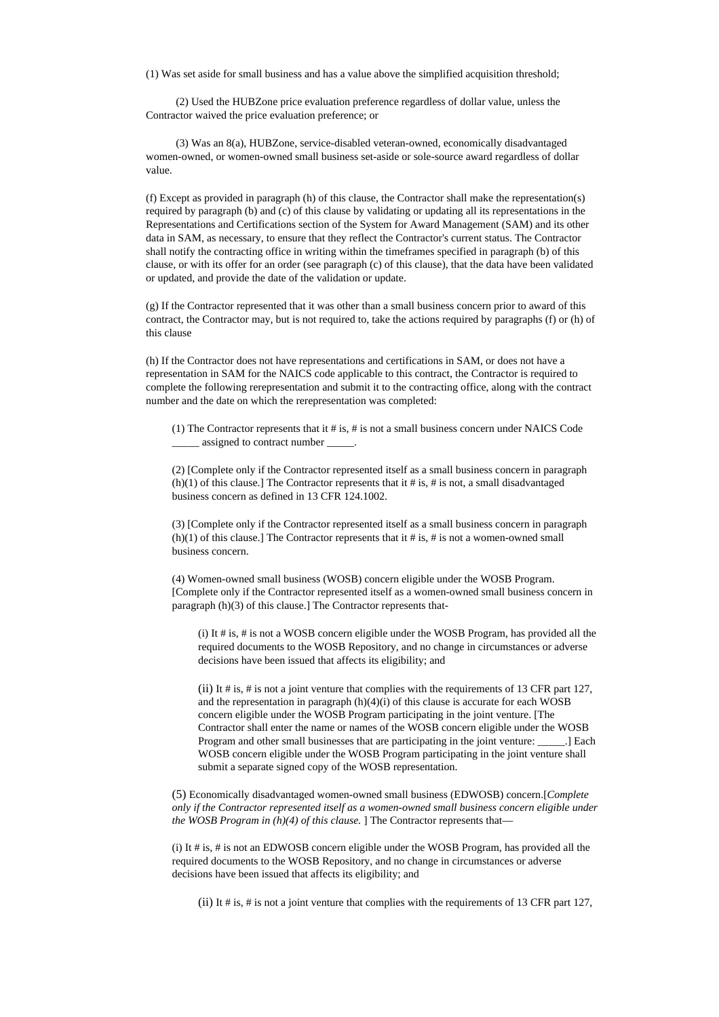(1) Was set aside for small business and has a value above the simplified acquisition threshold;

(2) Used the HUBZone price evaluation preference regardless of dollar value, unless the Contractor waived the price evaluation preference; or

(3) Was an 8(a), HUBZone, service-disabled veteran-owned, economically disadvantaged women-owned, or women-owned small business set-aside or sole-source award regardless of dollar value.

(f) Except as provided in paragraph (h) of this clause, the Contractor shall make the representation(s) required by paragraph (b) and (c) of this clause by validating or updating all its representations in the Representations and Certifications section of the System for Award Management (SAM) and its other data in SAM, as necessary, to ensure that they reflect the Contractor's current status. The Contractor shall notify the contracting office in writing within the timeframes specified in paragraph (b) of this clause, or with its offer for an order (see paragraph (c) of this clause), that the data have been validated or updated, and provide the date of the validation or update.

(g) If the Contractor represented that it was other than a small business concern prior to award of this contract, the Contractor may, but is not required to, take the actions required by paragraphs (f) or (h) of this clause

(h) If the Contractor does not have representations and certifications in SAM, or does not have a representation in SAM for the NAICS code applicable to this contract, the Contractor is required to complete the following rerepresentation and submit it to the contracting office, along with the contract number and the date on which the rerepresentation was completed:

(1) The Contractor represents that it # is, # is not a small business concern under NAICS Code \_\_\_\_\_ assigned to contract number \_\_\_\_\_.

(2) [Complete only if the Contractor represented itself as a small business concern in paragraph  $(h)(1)$  of this clause.] The Contractor represents that it # is, # is not, a small disadvantaged business concern as defined in 13 CFR 124.1002.

(3) [Complete only if the Contractor represented itself as a small business concern in paragraph  $(h)(1)$  of this clause.] The Contractor represents that it # is, # is not a women-owned small business concern.

(4) Women-owned small business (WOSB) concern eligible under the WOSB Program. [Complete only if the Contractor represented itself as a women-owned small business concern in paragraph (h)(3) of this clause.] The Contractor represents that-

(i) It # is, # is not a WOSB concern eligible under the WOSB Program, has provided all the required documents to the WOSB Repository, and no change in circumstances or adverse decisions have been issued that affects its eligibility; and

(ii) It  $\#$  is,  $\#$  is not a joint venture that complies with the requirements of 13 CFR part 127, and the representation in paragraph  $(h)(4)(i)$  of this clause is accurate for each WOSB concern eligible under the WOSB Program participating in the joint venture. [The Contractor shall enter the name or names of the WOSB concern eligible under the WOSB Program and other small businesses that are participating in the joint venture: \_\_\_\_\_.] Each WOSB concern eligible under the WOSB Program participating in the joint venture shall submit a separate signed copy of the WOSB representation.

(5) Economically disadvantaged women-owned small business (EDWOSB) concern.[*Complete only if the Contractor represented itself as a women-owned small business concern eligible under the WOSB Program in (h)(4) of this clause.* ] The Contractor represents that—

(i) It # is, # is not an EDWOSB concern eligible under the WOSB Program, has provided all the required documents to the WOSB Repository, and no change in circumstances or adverse decisions have been issued that affects its eligibility; and

(ii) It # is, # is not a joint venture that complies with the requirements of 13 CFR part 127,